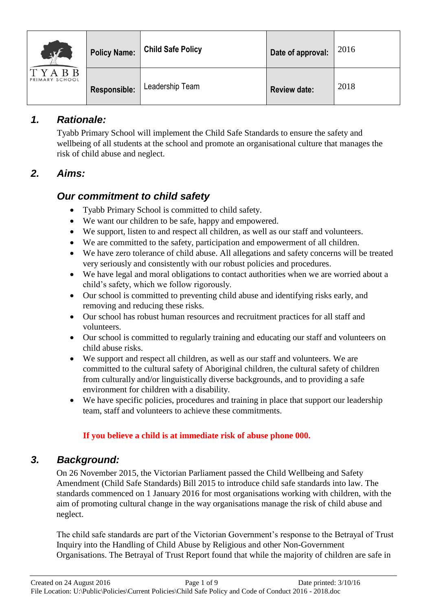| $\frac{1}{2}$<br>TYABB<br>PRIMARY SCHOOL | <b>Policy Name:</b> | <b>Child Safe Policy</b> | Date of approval:   | 2016 |
|------------------------------------------|---------------------|--------------------------|---------------------|------|
|                                          | Responsible:        | Leadership Team          | <b>Review date:</b> | 2018 |

# *1. Rationale:*

Tyabb Primary School will implement the Child Safe Standards to ensure the safety and wellbeing of all students at the school and promote an organisational culture that manages the risk of child abuse and neglect.

# *2. Aims:*

# *Our commitment to child safety*

- Tyabb Primary School is committed to child safety.
- We want our children to be safe, happy and empowered.
- We support, listen to and respect all children, as well as our staff and volunteers.
- We are committed to the safety, participation and empowerment of all children.
- We have zero tolerance of child abuse. All allegations and safety concerns will be treated very seriously and consistently with our robust policies and procedures.
- We have legal and moral obligations to contact authorities when we are worried about a child's safety, which we follow rigorously.
- Our school is committed to preventing child abuse and identifying risks early, and removing and reducing these risks.
- Our school has robust human resources and recruitment practices for all staff and volunteers.
- Our school is committed to regularly training and educating our staff and volunteers on child abuse risks.
- We support and respect all children, as well as our staff and volunteers. We are committed to the cultural safety of Aboriginal children, the cultural safety of children from culturally and/or linguistically diverse backgrounds, and to providing a safe environment for children with a disability.
- We have specific policies, procedures and training in place that support our leadership team, staff and volunteers to achieve these commitments.

## **If you believe a child is at immediate risk of abuse phone 000.**

# *3. Background:*

On 26 November 2015, the Victorian Parliament passed the Child Wellbeing and Safety Amendment (Child Safe Standards) Bill 2015 to introduce child safe standards into law. The standards commenced on 1 January 2016 for most organisations working with children, with the aim of promoting cultural change in the way organisations manage the risk of child abuse and neglect.

The child safe standards are part of the Victorian Government's response to the Betrayal of Trust Inquiry into the Handling of Child Abuse by Religious and other Non-Government Organisations. The Betrayal of Trust Report found that while the majority of children are safe in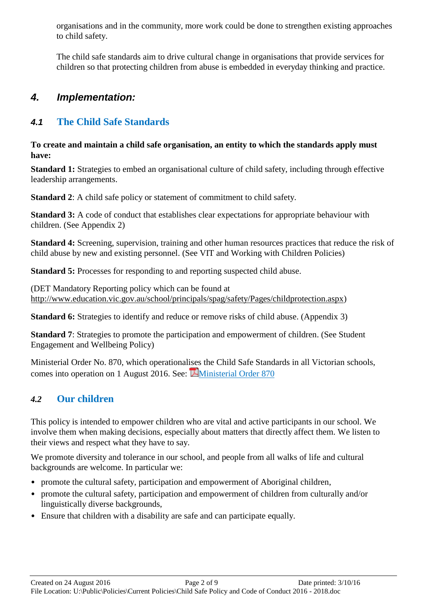organisations and in the community, more work could be done to strengthen existing approaches to child safety.

The child safe standards aim to drive cultural change in organisations that provide services for children so that protecting children from abuse is embedded in everyday thinking and practice.

## *4. Implementation:*

# *4.1* **The Child Safe Standards**

**To create and maintain a child safe organisation, an entity to which the standards apply must have:**

**Standard 1:** Strategies to embed an organisational culture of child safety, including through effective leadership arrangements.

**Standard 2**: A child safe policy or statement of commitment to child safety.

**Standard 3:** A code of conduct that establishes clear expectations for appropriate behaviour with children. (See Appendix 2)

**Standard 4:** Screening, supervision, training and other human resources practices that reduce the risk of child abuse by new and existing personnel. (See VIT and Working with Children Policies)

**Standard 5:** Processes for responding to and reporting suspected child abuse.

(DET Mandatory Reporting policy which can be found at [http://www.education.vic.gov.au/school/principals/spag/safety/Pages/childprotection.aspx\)](http://www.education.vic.gov.au/school/principals/spag/safety/Pages/childprotection.aspx)

**Standard 6:** Strategies to identify and reduce or remove risks of child abuse. (Appendix 3)

**Standard 7:** Strategies to promote the participation and empowerment of children. (See Student Engagement and Wellbeing Policy)

Ministerial Order No. 870, which operationalises the Child Safe Standards in all Victorian schools, comes into operation on 1 August 2016. See: **Ministerial Order 870** 

# *4.2* **Our children**

This policy is intended to empower children who are vital and active participants in our school. We involve them when making decisions, especially about matters that directly affect them. We listen to their views and respect what they have to say.

We promote diversity and tolerance in our school, and people from all walks of life and cultural backgrounds are welcome. In particular we:

- promote the cultural safety, participation and empowerment of Aboriginal children,
- promote the cultural safety, participation and empowerment of children from culturally and/or linguistically diverse backgrounds,
- Ensure that children with a disability are safe and can participate equally.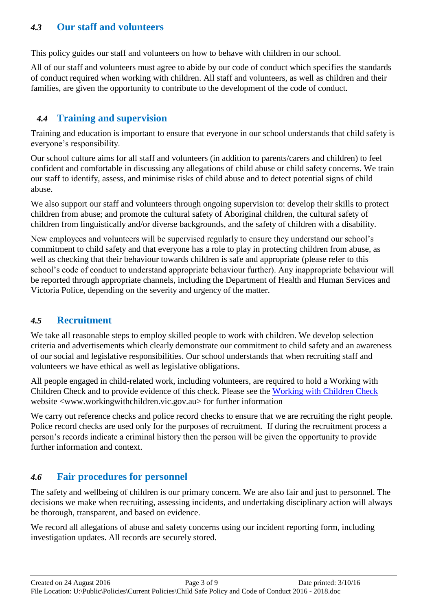## *4.3* **Our staff and volunteers**

This policy guides our staff and volunteers on how to behave with children in our school.

All of our staff and volunteers must agree to abide by our code of conduct which specifies the standards of conduct required when working with children. All staff and volunteers, as well as children and their families, are given the opportunity to contribute to the development of the code of conduct.

## *4.4* **Training and supervision**

Training and education is important to ensure that everyone in our school understands that child safety is everyone's responsibility.

Our school culture aims for all staff and volunteers (in addition to parents/carers and children) to feel confident and comfortable in discussing any allegations of child abuse or child safety concerns. We train our staff to identify, assess, and minimise risks of child abuse and to detect potential signs of child abuse.

We also support our staff and volunteers through ongoing supervision to: develop their skills to protect children from abuse; and promote the cultural safety of Aboriginal children, the cultural safety of children from linguistically and/or diverse backgrounds, and the safety of children with a disability.

New employees and volunteers will be supervised regularly to ensure they understand our school's commitment to child safety and that everyone has a role to play in protecting children from abuse, as well as checking that their behaviour towards children is safe and appropriate (please refer to this school's code of conduct to understand appropriate behaviour further). Any inappropriate behaviour will be reported through appropriate channels, including the Department of Health and Human Services and Victoria Police, depending on the severity and urgency of the matter.

## *4.5* **Recruitment**

We take all reasonable steps to employ skilled people to work with children. We develop selection criteria and advertisements which clearly demonstrate our commitment to child safety and an awareness of our social and legislative responsibilities. Our school understands that when recruiting staff and volunteers we have ethical as well as legislative obligations.

All people engaged in child-related work, including volunteers, are required to hold a Working with Children Check and to provide evidence of this check. Please see the [Working with Children Check](http://www.workingwithchildren.vic.gov.au/) website <www.workingwithchildren.vic.gov.au> for further information

We carry out reference checks and police record checks to ensure that we are recruiting the right people. Police record checks are used only for the purposes of recruitment. If during the recruitment process a person's records indicate a criminal history then the person will be given the opportunity to provide further information and context.

## *4.6* **Fair procedures for personnel**

The safety and wellbeing of children is our primary concern. We are also fair and just to personnel. The decisions we make when recruiting, assessing incidents, and undertaking disciplinary action will always be thorough, transparent, and based on evidence.

We record all allegations of abuse and safety concerns using our incident reporting form, including investigation updates. All records are securely stored.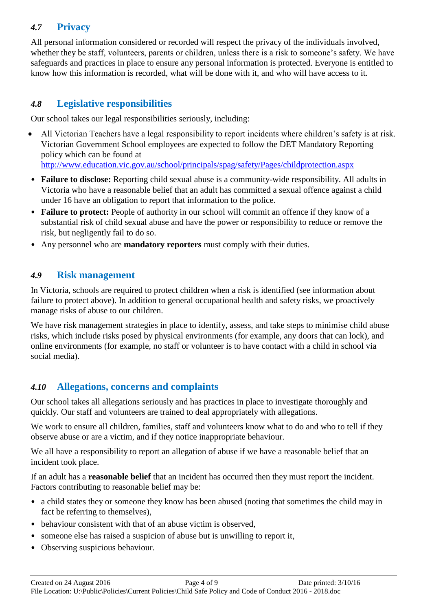## *4.7* **Privacy**

All personal information considered or recorded will respect the privacy of the individuals involved, whether they be staff, volunteers, parents or children, unless there is a risk to someone's safety. We have safeguards and practices in place to ensure any personal information is protected. Everyone is entitled to know how this information is recorded, what will be done with it, and who will have access to it.

## *4.8* **Legislative responsibilities**

Our school takes our legal responsibilities seriously, including:

- All Victorian Teachers have a legal responsibility to report incidents where children's safety is at risk. Victorian Government School employees are expected to follow the DET Mandatory Reporting policy which can be found at <http://www.education.vic.gov.au/school/principals/spag/safety/Pages/childprotection.aspx>
- **Failure to disclose:** Reporting child sexual abuse is a community-wide responsibility. All adults in Victoria who have a reasonable belief that an adult has committed a sexual offence against a child under 16 have an obligation to report that information to the police.
- **Failure to protect:** People of authority in our school will commit an offence if they know of a substantial risk of child sexual abuse and have the power or responsibility to reduce or remove the risk, but negligently fail to do so.
- Any personnel who are **mandatory reporters** must comply with their duties.

## *4.9* **Risk management**

In Victoria, schools are required to protect children when a risk is identified (see information about failure to protect above). In addition to general occupational health and safety risks, we proactively manage risks of abuse to our children.

We have risk management strategies in place to identify, assess, and take steps to minimise child abuse risks, which include risks posed by physical environments (for example, any doors that can lock), and online environments (for example, no staff or volunteer is to have contact with a child in school via social media).

## *4.10* **Allegations, concerns and complaints**

Our school takes all allegations seriously and has practices in place to investigate thoroughly and quickly. Our staff and volunteers are trained to deal appropriately with allegations.

We work to ensure all children, families, staff and volunteers know what to do and who to tell if they observe abuse or are a victim, and if they notice inappropriate behaviour.

We all have a responsibility to report an allegation of abuse if we have a reasonable belief that an incident took place.

If an adult has a **reasonable belief** that an incident has occurred then they must report the incident. Factors contributing to reasonable belief may be:

- a child states they or someone they know has been abused (noting that sometimes the child may in fact be referring to themselves),
- behaviour consistent with that of an abuse victim is observed,
- someone else has raised a suspicion of abuse but is unwilling to report it,
- Observing suspicious behaviour.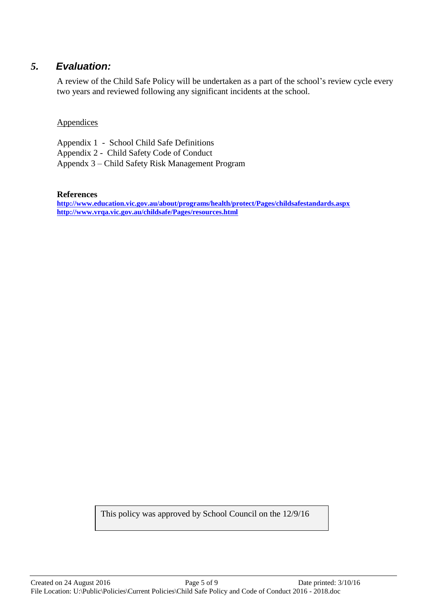## *5. Evaluation:*

A review of the Child Safe Policy will be undertaken as a part of the school's review cycle every two years and reviewed following any significant incidents at the school.

## **Appendices**

Appendix 1 - School Child Safe Definitions Appendix 2 - Child Safety Code of Conduct Appendx 3 – Child Safety Risk Management Program

#### **References**

**<http://www.education.vic.gov.au/about/programs/health/protect/Pages/childsafestandards.aspx> <http://www.vrqa.vic.gov.au/childsafe/Pages/resources.html>**

This policy was approved by School Council on the 12/9/16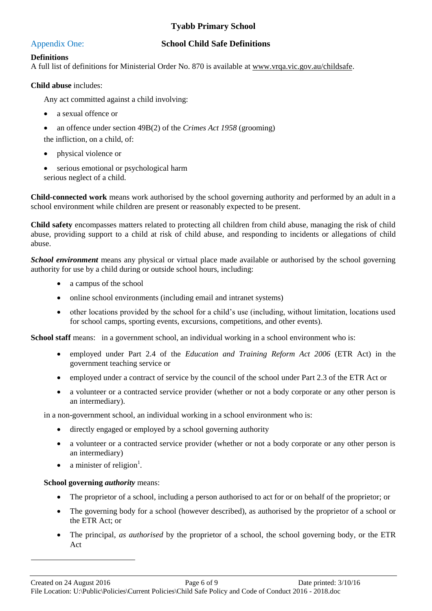## **Tyabb Primary School**

#### Appendix One: **School Child Safe Definitions**

#### **Definitions**

A full list of definitions for Ministerial Order No. 870 is available at [www.vrqa.vic.gov.au/childsafe.](http://www.vrqa.vic.gov.au/childsafe)

#### **Child abuse** includes:

Any act committed against a child involving:

- a sexual offence or
- an offence under section 49B(2) of the *Crimes Act 1958* (grooming)

the infliction, on a child, of:

- physical violence or
- serious emotional or psychological harm serious neglect of a child.

**Child-connected work** means work authorised by the school governing authority and performed by an adult in a school environment while children are present or reasonably expected to be present.

**Child safety** encompasses matters related to protecting all children from child abuse, managing the risk of child abuse, providing support to a child at risk of child abuse, and responding to incidents or allegations of child abuse.

*School environment* means any physical or virtual place made available or authorised by the school governing authority for use by a child during or outside school hours, including:

- a campus of the school
- online school environments (including email and intranet systems)
- other locations provided by the school for a child's use (including, without limitation, locations used for school camps, sporting events, excursions, competitions, and other events).

School staff means: in a government school, an individual working in a school environment who is:

- employed under Part 2.4 of the *Education and Training Reform Act 2006* (ETR Act) in the government teaching service or
- employed under a contract of service by the council of the school under Part 2.3 of the ETR Act or
- a volunteer or a contracted service provider (whether or not a body corporate or any other person is an intermediary).

in a non-government school, an individual working in a school environment who is:

- directly engaged or employed by a school governing authority
- a volunteer or a contracted service provider (whether or not a body corporate or any other person is an intermediary)
- a minister of religion<sup>1</sup>.

#### **School governing** *authority* means:

 $\overline{a}$ 

- The proprietor of a school, including a person authorised to act for or on behalf of the proprietor; or
- The governing body for a school (however described), as authorised by the proprietor of a school or the ETR Act; or
- The principal, *as authorised* by the proprietor of a school, the school governing body, or the ETR Act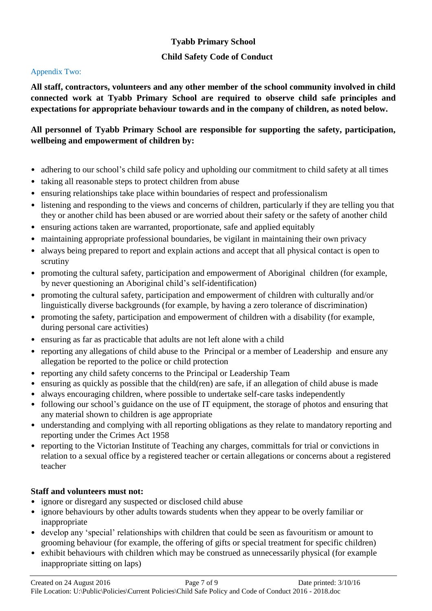## **Tyabb Primary School**

## **Child Safety Code of Conduct**

#### Appendix Two:

**All staff, contractors, volunteers and any other member of the school community involved in child connected work at Tyabb Primary School are required to observe child safe principles and expectations for appropriate behaviour towards and in the company of children, as noted below.**

## **All personnel of Tyabb Primary School are responsible for supporting the safety, participation, wellbeing and empowerment of children by:**

- adhering to our school's child safe policy and upholding our commitment to child safety at all times
- taking all reasonable steps to protect children from abuse
- ensuring relationships take place within boundaries of respect and professionalism
- listening and responding to the views and concerns of children, particularly if they are telling you that they or another child has been abused or are worried about their safety or the safety of another child
- ensuring actions taken are warranted, proportionate, safe and applied equitably
- maintaining appropriate professional boundaries, be vigilant in maintaining their own privacy
- always being prepared to report and explain actions and accept that all physical contact is open to scrutiny
- promoting the cultural safety, participation and empowerment of Aboriginal children (for example, by never questioning an Aboriginal child's self-identification)
- promoting the cultural safety, participation and empowerment of children with culturally and/or linguistically diverse backgrounds (for example, by having a zero tolerance of discrimination)
- promoting the safety, participation and empowerment of children with a disability (for example, during personal care activities)
- ensuring as far as practicable that adults are not left alone with a child
- reporting any allegations of child abuse to the Principal or a member of Leadership and ensure any allegation be reported to the police or child protection
- reporting any child safety concerns to the Principal or Leadership Team
- ensuring as quickly as possible that the child(ren) are safe, if an allegation of child abuse is made
- always encouraging children, where possible to undertake self-care tasks independently
- following our school's guidance on the use of IT equipment, the storage of photos and ensuring that any material shown to children is age appropriate
- understanding and complying with all reporting obligations as they relate to mandatory reporting and reporting under the Crimes Act 1958
- reporting to the Victorian Institute of Teaching any charges, committals for trial or convictions in relation to a sexual office by a registered teacher or certain allegations or concerns about a registered teacher

## **Staff and volunteers must not:**

- ignore or disregard any suspected or disclosed child abuse
- ignore behaviours by other adults towards students when they appear to be overly familiar or inappropriate
- develop any 'special' relationships with children that could be seen as favouritism or amount to grooming behaviour (for example, the offering of gifts or special treatment for specific children)
- exhibit behaviours with children which may be construed as unnecessarily physical (for example inappropriate sitting on laps)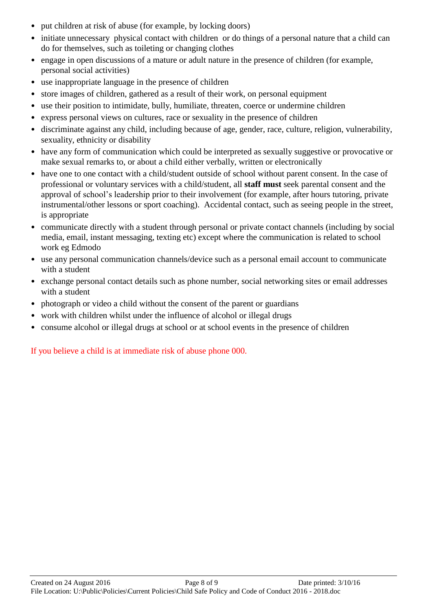- put children at risk of abuse (for example, by locking doors)
- initiate unnecessary physical contact with children or do things of a personal nature that a child can do for themselves, such as toileting or changing clothes
- engage in open discussions of a mature or adult nature in the presence of children (for example, personal social activities)
- use inappropriate language in the presence of children
- store images of children, gathered as a result of their work, on personal equipment
- use their position to intimidate, bully, humiliate, threaten, coerce or undermine children
- express personal views on cultures, race or sexuality in the presence of children
- discriminate against any child, including because of age, gender, race, culture, religion, vulnerability, sexuality, ethnicity or disability
- have any form of communication which could be interpreted as sexually suggestive or provocative or make sexual remarks to, or about a child either verbally, written or electronically
- have one to one contact with a child/student outside of school without parent consent. In the case of professional or voluntary services with a child/student, all **staff must** seek parental consent and the approval of school's leadership prior to their involvement (for example, after hours tutoring, private instrumental/other lessons or sport coaching). Accidental contact, such as seeing people in the street, is appropriate
- communicate directly with a student through personal or private contact channels (including by social media, email, instant messaging, texting etc) except where the communication is related to school work eg Edmodo
- use any personal communication channels/device such as a personal email account to communicate with a student
- exchange personal contact details such as phone number, social networking sites or email addresses with a student
- photograph or video a child without the consent of the parent or guardians
- work with children whilst under the influence of alcohol or illegal drugs
- consume alcohol or illegal drugs at school or at school events in the presence of children

If you believe a child is at immediate risk of abuse phone 000.